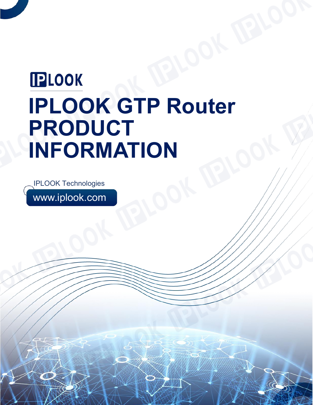# **PLOOK IPLOOK GTP Router PRODUCT INFORMATION**

www.iplook.com IPLOOK Technologies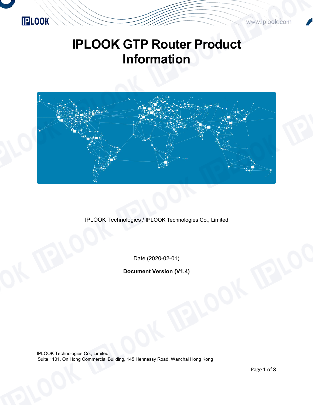

www.iplook.com

## **IPLOOK GTP Router Product Information**



IPLOOK Technologies / IPLOOK Technologies Co., Limited

Date (2020-02-01)

**Document Version (V1.4)**

IPLOOK Technologies Co., Limited Suite 1101, On Hong Commercial Building, 145 Hennessy Road, Wanchai Hong Kong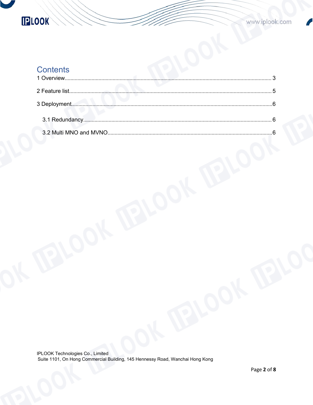

## **Contents**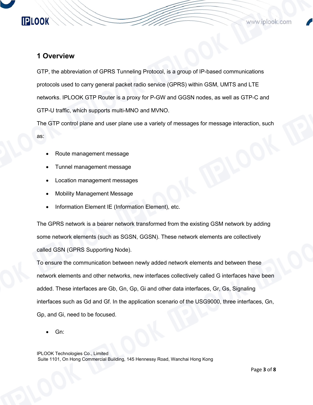### <span id="page-3-0"></span>**1 Overview**

GTP, the abbreviation of GPRS Tunneling Protocol, is a group of IP-based communications protocols used to carry general packet radio service (GPRS) within GSM, UMTS and LTE networks. IPLOOK GTP Router is a proxy for P-GW and GGSN nodes, as well as GTP-C and GTP-U traffic, which supports multi-MNO and MVNO.

The GTP control plane and user plane use a variety of messages for message interaction, such

as:

- Route management message
- Tunnel management message
- Location management messages
- Mobility Management Message
- Information Element IE (Information Element), etc.

The GPRS network is a bearer network transformed from the existing GSM network by adding some network elements (such as SGSN, GGSN). These network elements are collectively called GSN (GPRS Supporting Node).

To ensure the communication between newly added network elements and between these network elements and other networks, new interfaces collectively called G interfaces have been added. These interfaces are Gb, Gn, Gp, Gi and other data interfaces, Gr, Gs, Signaling interfaces such as Gd and Gf. In the application scenario of the USG9000, three interfaces, Gn, Gp, and Gi, need to be focused.

Gn: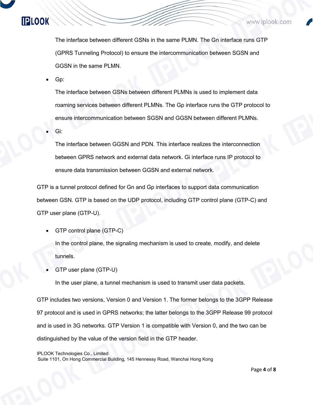The interface between different GSNs in the same PLMN. The Gn interface runs GTP (GPRS Tunneling Protocol) to ensure the intercommunication between SGSN and GGSN in the same PLMN.

Gp:

**IPLOOK** 

The interface between GSNs between different PLMNs is used to implement data roaming services between different PLMNs. The Gp interface runs the GTP protocol to ensure intercommunication between SGSN and GGSN between different PLMNs.

Gi:

The interface between GGSN and PDN. This interface realizes the interconnection between GPRS network and external data network. Gi interface runs IP protocol to ensure data transmission between GGSN and external network.

GTP is a tunnel protocol defined for Gn and Gp interfaces to support data communication between GSN. GTP is based on the UDP protocol, including GTP control plane (GTP-C) and GTP user plane (GTP-U).

GTP control plane (GTP-C)

In the control plane, the signaling mechanism is used to create, modify, and delete tunnels.

GTP user plane (GTP-U)

In the user plane, a tunnel mechanism is used to transmit user data packets.

GTP includes two versions, Version 0 and Version 1. The former belongs to the 3GPP Release 97 protocol and is used in GPRS networks; the latter belongs to the 3GPP Release 99 protocol and is used in 3G networks. GTP Version 1 is compatible with Version 0, and the two can be distinguished by the value of the version field in the GTP header.

IPLOOK Technologies Co., Limited

Suite 1101, On Hong Commercial Building, 145 Hennessy Road, Wanchai Hong Kong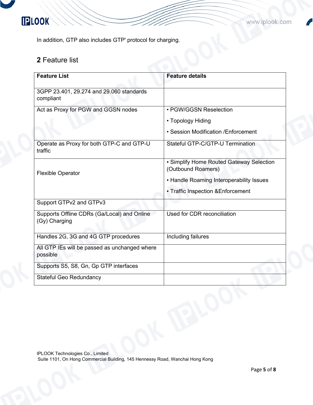## **IPLOOK**

In addition, GTP also includes GTP' protocol for charging.

## <span id="page-5-0"></span>**2** Feature list

| <b>Feature List</b>                                          | <b>Feature details</b>                                                                                                                           |  |
|--------------------------------------------------------------|--------------------------------------------------------------------------------------------------------------------------------------------------|--|
| 3GPP 23.401, 29.274 and 29.060 standards<br>compliant        |                                                                                                                                                  |  |
| Act as Proxy for PGW and GGSN nodes                          | • PGW/GGSN Reselection                                                                                                                           |  |
|                                                              | • Topology Hiding                                                                                                                                |  |
|                                                              | • Session Modification / Enforcement                                                                                                             |  |
| Operate as Proxy for both GTP-C and GTP-U<br>traffic         | Stateful GTP-C/GTP-U Termination                                                                                                                 |  |
| <b>Flexible Operator</b>                                     | • Simplify Home Routed Gateway Selection<br>(Outbound Roamers)<br>• Handle Roaming Interoperability Issues<br>• Traffic Inspection & Enforcement |  |
| Support GTPv2 and GTPv3                                      |                                                                                                                                                  |  |
| Supports Offline CDRs (Ga/Local) and Online<br>(Gy) Charging | Used for CDR reconciliation                                                                                                                      |  |
| Handles 2G, 3G and 4G GTP procedures                         | Including failures                                                                                                                               |  |
| All GTP IEs will be passed as unchanged where<br>possible    |                                                                                                                                                  |  |
| Supports S5, S8, Gn, Gp GTP interfaces                       |                                                                                                                                                  |  |
| <b>Stateful Geo Redundancy</b>                               |                                                                                                                                                  |  |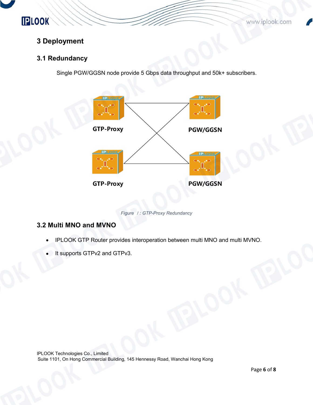**PLOOK** 

www.iplook.com

## <span id="page-6-0"></span>**3 Deployment**

#### <span id="page-6-1"></span>**3.1 Redundancy**

Single PGW/GGSN node provide 5 Gbps data throughput and 50k+ subscribers.



*Figure* <sup>1</sup>*: GTP-Proxy Redundancy*

#### <span id="page-6-2"></span>**3.2 Multi MNO and MVNO**

- IPLOOK GTP Router provides interoperation between multi MNO and multi MVNO.
- It supports GTPv2 and GTPv3.

IPLOOK Technologies Co., Limited Suite 1101, On Hong Commercial Building, 145 Hennessy Road, Wanchai Hong Kong